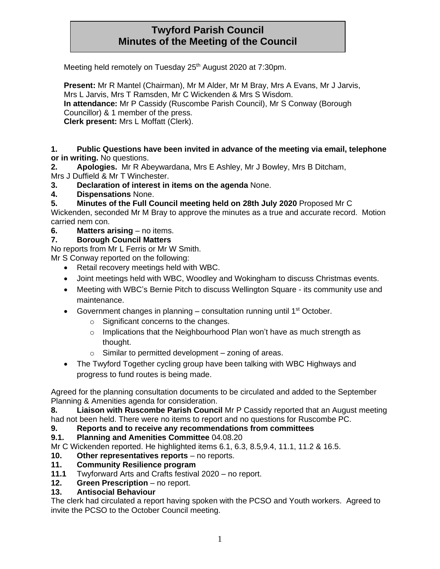# **Twyford Parish Council Minutes of the Meeting of the Council**

Meeting held remotely on Tuesday 25<sup>th</sup> August 2020 at 7:30pm.

**Present:** Mr R Mantel (Chairman), Mr M Alder, Mr M Bray, Mrs A Evans, Mr J Jarvis, Mrs L Jarvis, Mrs T Ramsden, Mr C Wickenden & Mrs S Wisdom. **In attendance:** Mr P Cassidy (Ruscombe Parish Council), Mr S Conway (Borough Councillor) & 1 member of the press. **Clerk present:** Mrs L Moffatt (Clerk).

#### **1. Public Questions have been invited in advance of the meeting via email, telephone or in writing.** No questions.

**2. Apologies.** Mr R Abeywardana, Mrs E Ashley, Mr J Bowley, Mrs B Ditcham, Mrs J Duffield & Mr T Winchester.

**3. Declaration of interest in items on the agenda** None.

**4. Dispensations** None.

**5. Minutes of the Full Council meeting held on 28th July 2020** Proposed Mr C

Wickenden, seconded Mr M Bray to approve the minutes as a true and accurate record. Motion carried nem con.

**6. Matters arising** – no items.

### **7. Borough Council Matters**

No reports from Mr L Ferris or Mr W Smith.

Mr S Conway reported on the following:

- Retail recovery meetings held with WBC.
- Joint meetings held with WBC, Woodley and Wokingham to discuss Christmas events.
- Meeting with WBC's Bernie Pitch to discuss Wellington Square its community use and maintenance.
- Government changes in planning  $-$  consultation running until 1<sup>st</sup> October.
	- o Significant concerns to the changes.
	- o Implications that the Neighbourhood Plan won't have as much strength as thought.
	- $\circ$  Similar to permitted development zoning of areas.
- The Twyford Together cycling group have been talking with WBC Highways and progress to fund routes is being made.

Agreed for the planning consultation documents to be circulated and added to the September Planning & Amenities agenda for consideration.

**8. Liaison with Ruscombe Parish Council** Mr P Cassidy reported that an August meeting had not been held. There were no items to report and no questions for Ruscombe PC.

#### **9. Reports and to receive any recommendations from committees**

#### **9.1. Planning and Amenities Committee** 04.08.20

Mr C Wickenden reported. He highlighted items 6.1, 6.3, 8.5,9.4, 11.1, 11.2 & 16.5.

- **10. Other representatives reports** no reports.
- **11. Community Resilience program**
- **11.1** Twyforward Arts and Crafts festival 2020 no report.
- **12. Green Prescription** no report.

#### **13. Antisocial Behaviour**

The clerk had circulated a report having spoken with the PCSO and Youth workers. Agreed to invite the PCSO to the October Council meeting.